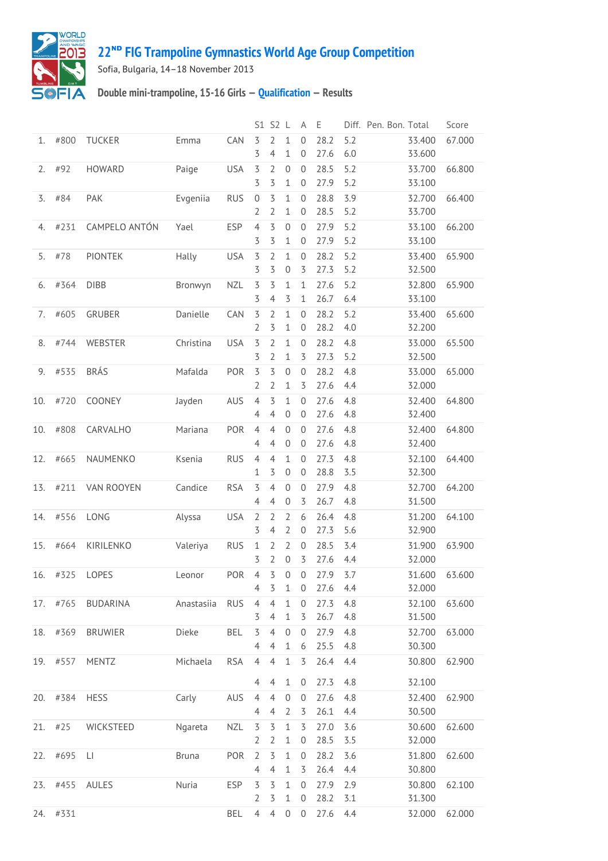

## **22ᴺᴰ [FIG Trampoline Gymnastics World Age Group Competition](http://192.168.1.7:9001/event)**

Sofia, Bulgaria, 14–18 November 2013

## **Double mini-trampoline, 15-16 Girls — [Qualification](http://192.168.1.7:9001/stage/3) — Results**

|     |           |                         |              |            |                                  | S1 S2 L                                   |                                    | A                                    | Ε            |            | Diff. Pen. Bon. Total |                  | Score  |
|-----|-----------|-------------------------|--------------|------------|----------------------------------|-------------------------------------------|------------------------------------|--------------------------------------|--------------|------------|-----------------------|------------------|--------|
| 1.  | #800      | <b>TUCKER</b>           | Emma         | CAN        | 3<br>3                           | 2<br>$\overline{4}$                       | $\mathbf 1$<br>$\mathbf{1}$        | $\mathbf 0$<br>$\mathbf 0$           | 28.2<br>27.6 | 5.2<br>6.0 |                       | 33.400<br>33.600 | 67.000 |
| 2.  | #92       | HOWARD                  | Paige        | <b>USA</b> | 3<br>3                           | 2<br>3                                    | $\mathbf 0$<br>1                   | $\mathbf 0$<br>$\boldsymbol{0}$      | 28.5<br>27.9 | 5.2<br>5.2 |                       | 33.700<br>33.100 | 66.800 |
| 3.  | #84       | PAK                     | Evgeniia     | <b>RUS</b> | $\mathbf 0$<br>2                 | 3<br>2                                    | 1<br>1                             | $\mathbf 0$<br>$\mathbf 0$           | 28.8<br>28.5 | 3.9<br>5.2 |                       | 32.700<br>33.700 | 66.400 |
| 4.  | #231      | CAMPELO ANTÓN           | Yael         | <b>ESP</b> | $\overline{4}$<br>3              | 3<br>3                                    | $\mathbf 0$<br>1                   | $\mathbf 0$<br>$\boldsymbol{0}$      | 27.9<br>27.9 | 5.2<br>5.2 |                       | 33.100<br>33.100 | 66.200 |
| 5.  | #78       | <b>PIONTEK</b>          | Hally        | <b>USA</b> | 3<br>3                           | 2<br>3                                    | 1<br>$\boldsymbol{0}$              | $\mathbf 0$<br>3                     | 28.2<br>27.3 | 5.2<br>5.2 |                       | 33.400<br>32.500 | 65.900 |
| 6.  | #364      | <b>DIBB</b>             | Bronwyn      | <b>NZL</b> | $\overline{5}$<br>3              | 3<br>$\overline{4}$                       | $\mathbf{1}$<br>3                  | $\mathbf 1$<br>1                     | 27.6<br>26.7 | 5.2<br>6.4 |                       | 32.800<br>33.100 | 65.900 |
| 7.  | #605      | GRUBER                  | Danielle     | CAN        | 3<br>$\overline{2}$              | 2<br>3                                    | $\mathbf{1}$<br>$\mathbf{1}$       | $\boldsymbol{0}$<br>$\boldsymbol{0}$ | 28.2<br>28.2 | 5.2<br>4.0 |                       | 33.400<br>32.200 | 65.600 |
| 8.  | #744      | WEBSTER                 | Christina    | <b>USA</b> | 3<br>3                           | $\overline{2}$<br>$\overline{2}$          | $\mathbf{1}$<br>1                  | $\mathbf 0$<br>3                     | 28.2<br>27.3 | 4.8<br>5.2 |                       | 33.000<br>32.500 | 65.500 |
| 9.  | #535      | <b>BRÁS</b>             | Mafalda      | POR        | $\overline{5}$<br>2              | 3<br>2                                    | $\mathbf 0$<br>1                   | $\mathbf 0$<br>3                     | 28.2<br>27.6 | 4.8<br>4.4 |                       | 33.000<br>32.000 | 65.000 |
| 10. | #720      | COONEY                  | Jayden       | AUS        | $\overline{4}$<br>$\overline{4}$ | 3<br>$\overline{4}$                       | $\mathbf{1}$<br>$\mathbf 0$        | $\mathbf 0$<br>$\mathbf 0$           | 27.6<br>27.6 | 4.8<br>4.8 |                       | 32.400<br>32.400 | 64.800 |
| 10. | #808      | CARVALHO                | Mariana      | POR        | $\overline{4}$<br>4              | $\overline{4}$<br>4                       | $\overline{0}$<br>$\overline{0}$   | $\mathbf 0$<br>$\mathbf 0$           | 27.6<br>27.6 | 4.8<br>4.8 |                       | 32.400<br>32.400 | 64.800 |
| 12. | #665      | NAUMENKO                | Ksenia       | <b>RUS</b> | $\overline{4}$<br>1              | $\overline{4}$<br>3                       | 1<br>$\mathbf 0$                   | $\mathbf{0}$<br>$\boldsymbol{0}$     | 27.3<br>28.8 | 4.8<br>3.5 |                       | 32.100<br>32.300 | 64.400 |
| 13. | #211      | VAN ROOYEN              | Candice      | <b>RSA</b> | 3<br>$\overline{4}$              | $\overline{4}$<br>$\overline{4}$          | $\mathbf 0$<br>$\boldsymbol{0}$    | $\mathbf 0$<br>3                     | 27.9<br>26.7 | 4.8<br>4.8 |                       | 32.700<br>31.500 | 64.200 |
| 14. | #556      | LONG                    | Alyssa       | <b>USA</b> | $\overline{2}$<br>3              | $\overline{2}$<br>$\overline{4}$          | $\overline{2}$<br>$\overline{2}$   | 6<br>$\mathbf 0$                     | 26.4<br>27.3 | 4.8<br>5.6 |                       | 31.200<br>32.900 | 64.100 |
| 15. | #664      | KIRILENKO               | Valeriya     | <b>RUS</b> | $\mathbf{1}$<br>3                | 2<br>$\overline{2}$                       | $\overline{2}$<br>$\boldsymbol{0}$ | $\mathbf 0$<br>3                     | 28.5<br>27.6 | 3.4<br>4.4 |                       | 31.900<br>32.000 | 63.900 |
| 16. | #325      | LOPES                   | Leonor       | POR        | $\overline{4}$<br>4              | 3<br>3                                    | 0                                  | $\overline{0}$<br>$\overline{0}$     | 27.9<br>27.6 | 3.7<br>4.4 |                       | 31.600<br>32.000 | 63.600 |
|     | 17. #765  | BUDARINA                | Anastasiia   | <b>RUS</b> | $\overline{4}$                   | $\overline{4}$                            | 1<br>$\mathbf{1}$                  | $\mathbf 0$                          | 27.3<br>26.7 | 4.8        |                       | 32.100           | 63.600 |
| 18. | #369      | <b>BRUWIER</b>          | Dieke        | <b>BEL</b> | 3<br>3<br>$\overline{4}$         | 4<br>$\overline{4}$                       | 1<br>$\mathbf{0}$                  | 3<br>$\mathbf 0$                     | 27.9<br>25.5 | 4.8<br>4.8 |                       | 31.500<br>32.700 | 63.000 |
|     | 19. #557  | MENTZ                   | Michaela     | <b>RSA</b> | $\overline{4}$                   | 4<br>$\overline{4}$                       | 1<br>$\mathbf{1}$                  | 6<br>$\overline{5}$                  | 26.4         | 4.8<br>4.4 |                       | 30.300<br>30.800 | 62.900 |
|     | 20. #384  | <b>HESS</b>             | Carly        | AUS        | 4<br>$\overline{4}$              | 4<br>$\overline{4}$                       | $\mathbf{1}$<br>$\mathbf 0$        | $\mathbf 0$<br>$\mathbf 0$           | 27.3<br>27.6 | 4.8<br>4.8 |                       | 32.100<br>32.400 | 62.900 |
|     | $21.$ #25 | WICKSTEED               | Ngareta      | <b>NZL</b> | 4<br>$\overline{5}$              | $\overline{4}$<br>$\overline{\mathsf{S}}$ | 2<br>$1\,$                         | 3<br>3                               | 26.1<br>27.0 | 4.4<br>3.6 |                       | 30.500<br>30.600 | 62.600 |
|     | 22. #695  | $\lfloor \cdot \rfloor$ | <b>Bruna</b> | POR        | 2<br>$\overline{2}$              | $\overline{2}$<br>3                       | 1<br>$\mathbf 1$                   | $\boldsymbol{0}$<br>$\boldsymbol{0}$ | 28.5<br>28.2 | 3.5<br>3.6 |                       | 32.000<br>31.800 | 62.600 |
|     | 23. #455  | AULES                   | Nuria        | <b>ESP</b> | $\overline{4}$<br>3              | 4<br>$\overline{5}$                       | 1<br>$\mathbf{1}$                  | 3<br>$\mathbf 0$                     | 26.4<br>27.9 | 4.4<br>2.9 |                       | 30.800<br>30.800 |        |
|     |           |                         |              |            | 2                                | 3                                         | 1                                  | $\boldsymbol{0}$                     | 28.2         | 3.1        |                       | 31.300           | 62.100 |
| 24. | #331      |                         |              | BEL        | $\overline{4}$                   | $\overline{4}$                            | $\overline{0}$                     | $\mathbf 0$                          | 27.6         | 4.4        |                       | 32.000           | 62.000 |